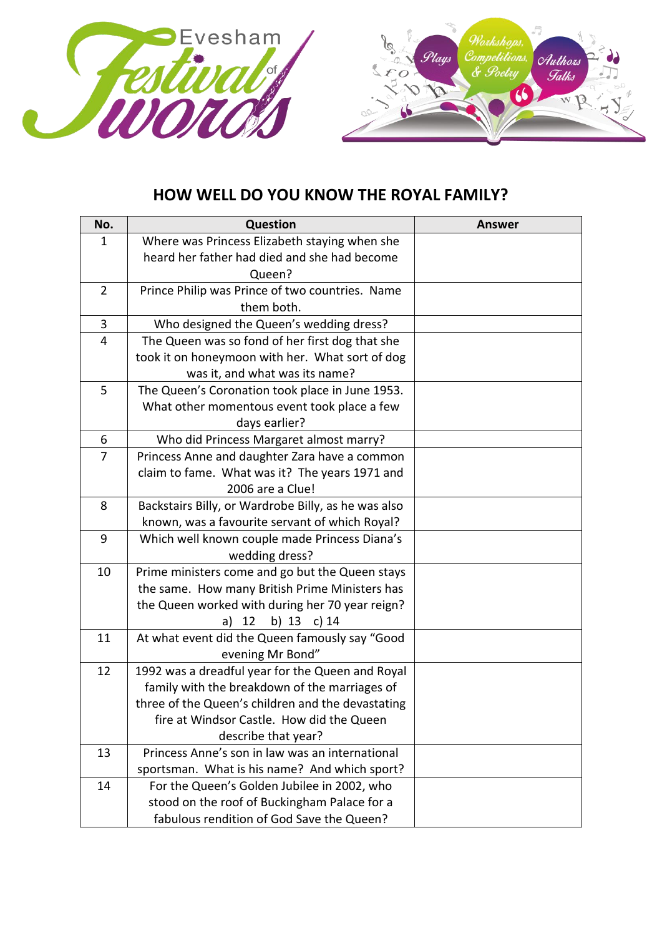

## **HOW WELL DO YOU KNOW THE ROYAL FAMILY?**

| No.            | <b>Question</b>                                                    | <b>Answer</b> |
|----------------|--------------------------------------------------------------------|---------------|
| $\mathbf 1$    | Where was Princess Elizabeth staying when she                      |               |
|                | heard her father had died and she had become                       |               |
|                | Queen?                                                             |               |
| $\overline{2}$ | Prince Philip was Prince of two countries. Name                    |               |
|                | them both.                                                         |               |
| $\mathbf{3}$   | Who designed the Queen's wedding dress?                            |               |
| 4              | The Queen was so fond of her first dog that she                    |               |
|                | took it on honeymoon with her. What sort of dog                    |               |
|                | was it, and what was its name?                                     |               |
| 5              | The Queen's Coronation took place in June 1953.                    |               |
|                | What other momentous event took place a few                        |               |
|                | days earlier?                                                      |               |
| 6              | Who did Princess Margaret almost marry?                            |               |
| $\overline{7}$ | Princess Anne and daughter Zara have a common                      |               |
|                | claim to fame. What was it? The years 1971 and                     |               |
|                | 2006 are a Clue!                                                   |               |
| 8              | Backstairs Billy, or Wardrobe Billy, as he was also                |               |
|                | known, was a favourite servant of which Royal?                     |               |
| 9              | Which well known couple made Princess Diana's                      |               |
|                | wedding dress?                                                     |               |
| 10             | Prime ministers come and go but the Queen stays                    |               |
|                | the same. How many British Prime Ministers has                     |               |
|                | the Queen worked with during her 70 year reign?                    |               |
| 11             | b) 13 c) 14<br>12<br>a)                                            |               |
|                | At what event did the Queen famously say "Good<br>evening Mr Bond" |               |
| 12             | 1992 was a dreadful year for the Queen and Royal                   |               |
|                | family with the breakdown of the marriages of                      |               |
|                | three of the Queen's children and the devastating                  |               |
|                | fire at Windsor Castle. How did the Queen                          |               |
|                | describe that year?                                                |               |
| 13             | Princess Anne's son in law was an international                    |               |
|                | sportsman. What is his name? And which sport?                      |               |
| 14             | For the Queen's Golden Jubilee in 2002, who                        |               |
|                | stood on the roof of Buckingham Palace for a                       |               |
|                | fabulous rendition of God Save the Queen?                          |               |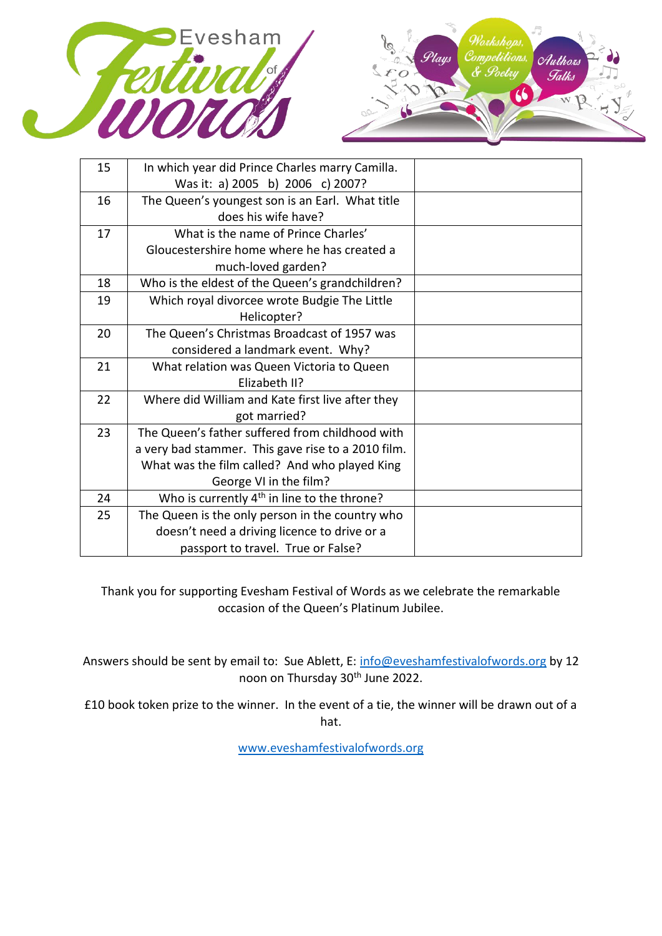



| 15 | In which year did Prince Charles marry Camilla.         |  |
|----|---------------------------------------------------------|--|
|    | Was it: a) 2005 b) 2006 c) 2007?                        |  |
| 16 | The Queen's youngest son is an Earl. What title         |  |
|    | does his wife have?                                     |  |
| 17 | What is the name of Prince Charles'                     |  |
|    | Gloucestershire home where he has created a             |  |
|    | much-loved garden?                                      |  |
| 18 | Who is the eldest of the Queen's grandchildren?         |  |
| 19 | Which royal divorcee wrote Budgie The Little            |  |
|    | Helicopter?                                             |  |
| 20 | The Queen's Christmas Broadcast of 1957 was             |  |
|    | considered a landmark event. Why?                       |  |
| 21 | What relation was Queen Victoria to Queen               |  |
|    | Elizabeth II?                                           |  |
| 22 | Where did William and Kate first live after they        |  |
|    | got married?                                            |  |
| 23 | The Queen's father suffered from childhood with         |  |
|    | a very bad stammer. This gave rise to a 2010 film.      |  |
|    | What was the film called? And who played King           |  |
|    | George VI in the film?                                  |  |
| 24 | Who is currently 4 <sup>th</sup> in line to the throne? |  |
| 25 | The Queen is the only person in the country who         |  |
|    | doesn't need a driving licence to drive or a            |  |
|    | passport to travel. True or False?                      |  |
|    |                                                         |  |

Thank you for supporting Evesham Festival of Words as we celebrate the remarkable occasion of the Queen's Platinum Jubilee.

Answers should be sent by email to: Sue Ablett, E: [info@eveshamfestivalofwords.org](mailto:info@eveshamfestivalofwords.org) by 12 noon on Thursday 30<sup>th</sup> June 2022.

£10 book token prize to the winner. In the event of a tie, the winner will be drawn out of a hat.

[www.eveshamfestivalofwords.org](http://www.eveshamfestivalofwords.org/)